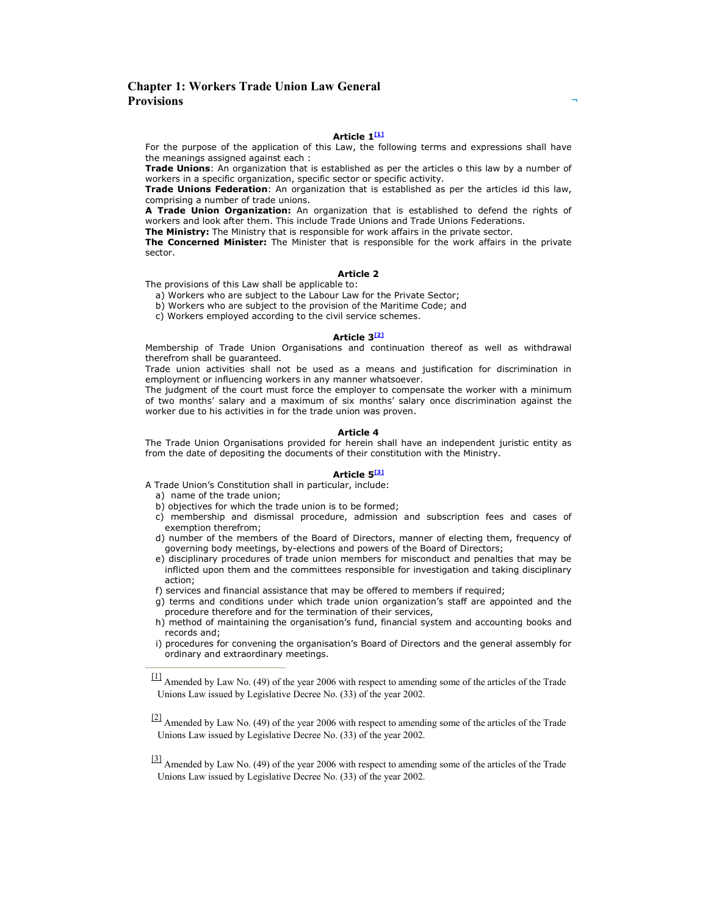# Chapter 1: Workers Trade Union Law General **Provisions**

# Article 1[1]

For the purpose of the application of this Law, the following terms and expressions shall have the meanings assigned against each :

**Trade Unions:** An organization that is established as per the articles o this law by a number of workers in a specific organization, specific sector or specific activity.

Trade Unions Federation: An organization that is established as per the articles id this law, comprising a number of trade unions.

A Trade Union Organization: An organization that is established to defend the rights of workers and look after them. This include Trade Unions and Trade Unions Federations.

The Ministry: The Ministry that is responsible for work affairs in the private sector.

The Concerned Minister: The Minister that is responsible for the work affairs in the private sector.

## Article 2

The provisions of this Law shall be applicable to:

a) Workers who are subject to the Labour Law for the Private Sector;

b) Workers who are subject to the provision of the Maritime Code; and

c) Workers employed according to the civil service schemes.

# Article 3<sup>[2]</sup>

Membership of Trade Union Organisations and continuation thereof as well as withdrawal therefrom shall be guaranteed.

Trade union activities shall not be used as a means and justification for discrimination in employment or influencing workers in any manner whatsoever.

The judgment of the court must force the employer to compensate the worker with a minimum of two months' salary and a maximum of six months' salary once discrimination against the worker due to his activities in for the trade union was proven.

## Article 4

The Trade Union Organisations provided for herein shall have an independent juristic entity as from the date of depositing the documents of their constitution with the Ministry.

# Article 5<sup>[3]</sup>

- A Trade Union's Constitution shall in particular, include:
	- a) name of the trade union;
	- b) objectives for which the trade union is to be formed;
	- c) membership and dismissal procedure, admission and subscription fees and cases of exemption therefrom;
	- d) number of the members of the Board of Directors, manner of electing them, frequency of governing body meetings, by-elections and powers of the Board of Directors;
	- e) disciplinary procedures of trade union members for misconduct and penalties that may be inflicted upon them and the committees responsible for investigation and taking disciplinary action;
	- f) services and financial assistance that may be offered to members if required;
	- g) terms and conditions under which trade union organization's staff are appointed and the procedure therefore and for the termination of their services,
	- h) method of maintaining the organisation's fund, financial system and accounting books and records and;
	- i) procedures for convening the organisation's Board of Directors and the general assembly for ordinary and extraordinary meetings.

<sup>[3]</sup> Amended by Law No. (49) of the year 2006 with respect to amending some of the articles of the Trade Unions Law issued by Legislative Decree No. (33) of the year 2002.

<sup>&</sup>lt;sup>[1]</sup> Amended by Law No. (49) of the year 2006 with respect to amending some of the articles of the Trade Unions Law issued by Legislative Decree No. (33) of the year 2002.

 $\frac{[2]}{[2]}$  Amended by Law No. (49) of the year 2006 with respect to amending some of the articles of the Trade Unions Law issued by Legislative Decree No. (33) of the year 2002.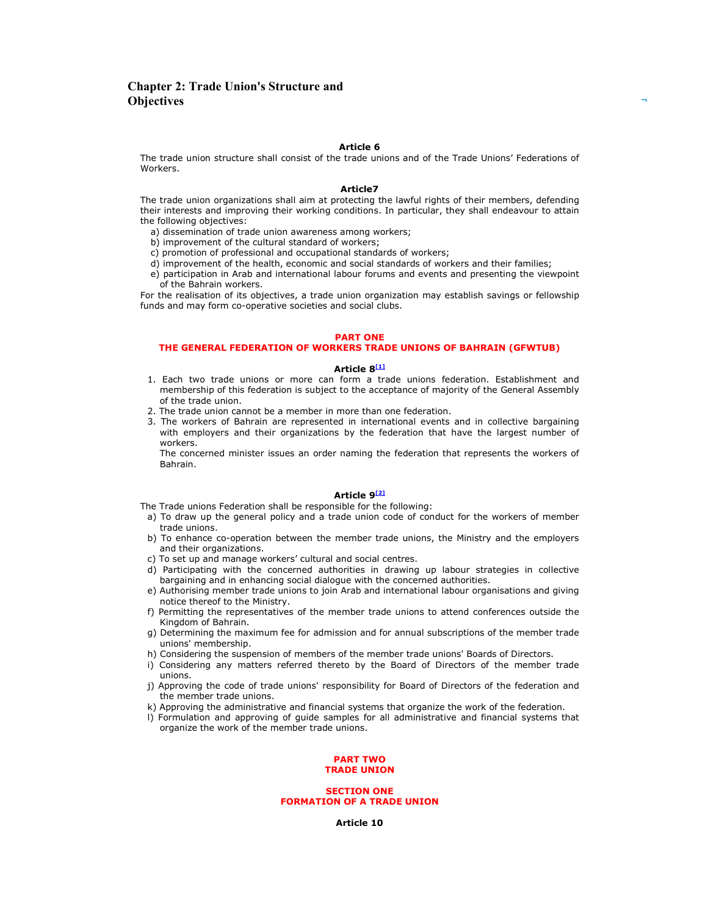## Chapter 2: Trade Union's Structure and **Objectives**

#### Article 6

The trade union structure shall consist of the trade unions and of the Trade Unions' Federations of Workers.

#### Article7

The trade union organizations shall aim at protecting the lawful rights of their members, defending their interests and improving their working conditions. In particular, they shall endeavour to attain the following objectives:

a) dissemination of trade union awareness among workers;

b) improvement of the cultural standard of workers;

c) promotion of professional and occupational standards of workers;

d) improvement of the health, economic and social standards of workers and their families;

e) participation in Arab and international labour forums and events and presenting the viewpoint of the Bahrain workers.

For the realisation of its objectives, a trade union organization may establish savings or fellowship funds and may form co-operative societies and social clubs.

### PART ONE

## THE GENERAL FEDERATION OF WORKERS TRADE UNIONS OF BAHRAIN (GFWTUB)

#### Article 8[1]

- 1. Each two trade unions or more can form a trade unions federation. Establishment and membership of this federation is subject to the acceptance of majority of the General Assembly of the trade union.
- 2. The trade union cannot be a member in more than one federation.
- 3. The workers of Bahrain are represented in international events and in collective bargaining with employers and their organizations by the federation that have the largest number of workers.

The concerned minister issues an order naming the federation that represents the workers of Bahrain.

#### Article 9<sup>[2]</sup>

- The Trade unions Federation shall be responsible for the following:
- a) To draw up the general policy and a trade union code of conduct for the workers of member trade unions.
- b) To enhance co-operation between the member trade unions, the Ministry and the employers and their organizations.
- c) To set up and manage workers' cultural and social centres.
- d) Participating with the concerned authorities in drawing up labour strategies in collective bargaining and in enhancing social dialogue with the concerned authorities.
- e) Authorising member trade unions to join Arab and international labour organisations and giving notice thereof to the Ministry.
- f) Permitting the representatives of the member trade unions to attend conferences outside the Kingdom of Bahrain.
- g) Determining the maximum fee for admission and for annual subscriptions of the member trade unions' membership.
- h) Considering the suspension of members of the member trade unions' Boards of Directors.
- i) Considering any matters referred thereto by the Board of Directors of the member trade unions.
- j) Approving the code of trade unions' responsibility for Board of Directors of the federation and the member trade unions.
- k) Approving the administrative and financial systems that organize the work of the federation.
- l) Formulation and approving of guide samples for all administrative and financial systems that organize the work of the member trade unions.

#### PART TWO TRADE UNION

## SECTION ONE FORMATION OF A TRADE UNION

Article 10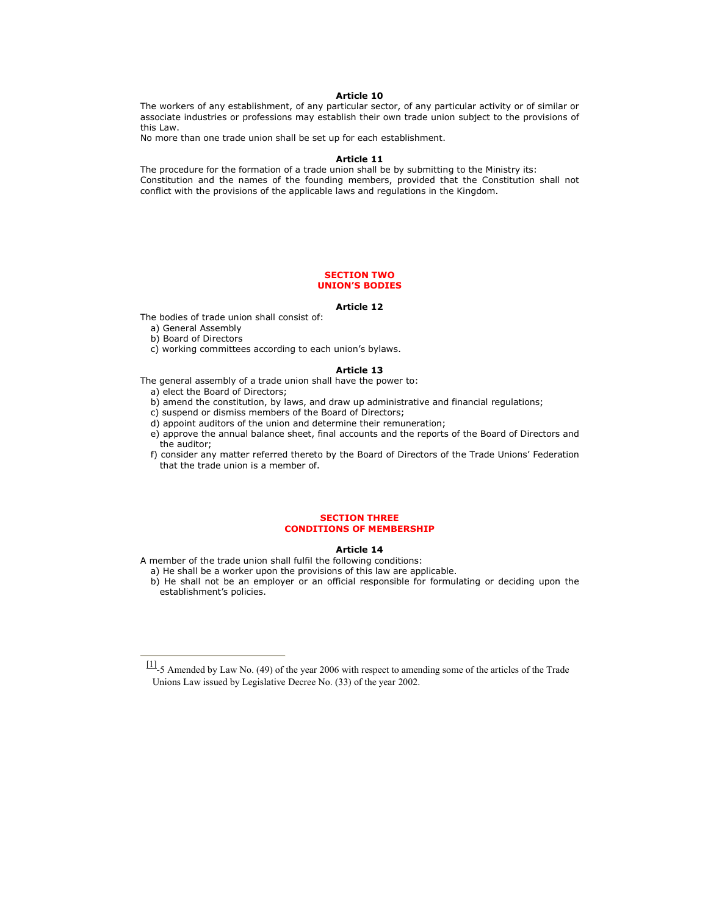## Article 10

The workers of any establishment, of any particular sector, of any particular activity or of similar or associate industries or professions may establish their own trade union subject to the provisions of this Law.

No more than one trade union shall be set up for each establishment.

#### Article 11

The procedure for the formation of a trade union shall be by submitting to the Ministry its: Constitution and the names of the founding members, provided that the Constitution shall not conflict with the provisions of the applicable laws and regulations in the Kingdom.

## SECTION TWO UNION'S BODIES

## Article 12

The bodies of trade union shall consist of:

- a) General Assembly
- b) Board of Directors
- c) working committees according to each union's bylaws.

## Article 13

The general assembly of a trade union shall have the power to:

- a) elect the Board of Directors;
- b) amend the constitution, by laws, and draw up administrative and financial regulations;
- c) suspend or dismiss members of the Board of Directors;
- d) appoint auditors of the union and determine their remuneration;
- e) approve the annual balance sheet, final accounts and the reports of the Board of Directors and the auditor;
- f) consider any matter referred thereto by the Board of Directors of the Trade Unions' Federation that the trade union is a member of.

## SECTION THREE CONDITIONS OF MEMBERSHIP

#### Article 14

- A member of the trade union shall fulfil the following conditions:
	- a) He shall be a worker upon the provisions of this law are applicable.

b) He shall not be an employer or an official responsible for formulating or deciding upon the establishment's policies.

<sup>[1]</sup>-5 Amended by Law No. (49) of the year 2006 with respect to amending some of the articles of the Trade Unions Law issued by Legislative Decree No. (33) of the year 2002.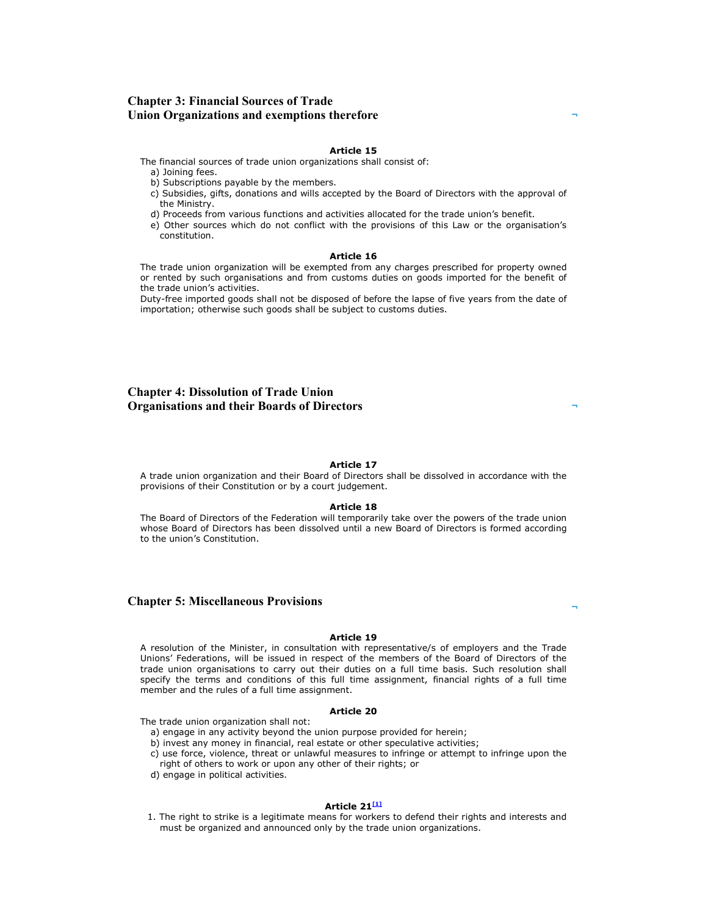# Chapter 3: Financial Sources of Trade Union Organizations and exemptions therefore

#### Article 15

The financial sources of trade union organizations shall consist of:

- a) Joining fees.
- b) Subscriptions payable by the members.
- c) Subsidies, gifts, donations and wills accepted by the Board of Directors with the approval of the Ministry.
- d) Proceeds from various functions and activities allocated for the trade union's benefit.
- e) Other sources which do not conflict with the provisions of this Law or the organisation's constitution.

## Article 16

The trade union organization will be exempted from any charges prescribed for property owned or rented by such organisations and from customs duties on goods imported for the benefit of the trade union's activities.

Duty-free imported goods shall not be disposed of before the lapse of five years from the date of importation; otherwise such goods shall be subject to customs duties.

# Chapter 4: Dissolution of Trade Union Organisations and their Boards of Directors

## Article 17

A trade union organization and their Board of Directors shall be dissolved in accordance with the provisions of their Constitution or by a court judgement.

#### Article 18

The Board of Directors of the Federation will temporarily take over the powers of the trade union whose Board of Directors has been dissolved until a new Board of Directors is formed according to the union's Constitution.

## Chapter 5: Miscellaneous Provisions

#### Article 19

A resolution of the Minister, in consultation with representative/s of employers and the Trade Unions' Federations, will be issued in respect of the members of the Board of Directors of the trade union organisations to carry out their duties on a full time basis. Such resolution shall specify the terms and conditions of this full time assignment, financial rights of a full time member and the rules of a full time assignment.

## Article 20

The trade union organization shall not:

- a) engage in any activity beyond the union purpose provided for herein;
- b) invest any money in financial, real estate or other speculative activities;
- c) use force, violence, threat or unlawful measures to infringe or attempt to infringe upon the right of others to work or upon any other of their rights; or
- d) engage in political activities.

## Article  $21^{11}$

1. The right to strike is a legitimate means for workers to defend their rights and interests and must be organized and announced only by the trade union organizations.